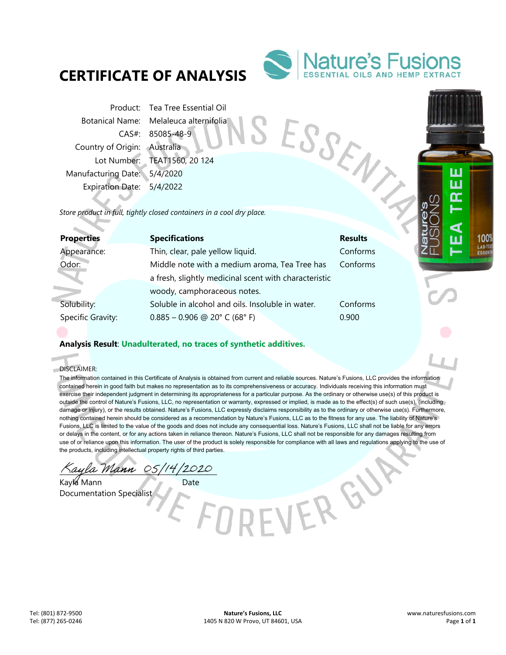# **CERTIFICATE OF ANALYSIS**



Product: Tea Tree Essential Oil Botanical Name: Melaleuca alternifolia CAS#: 85085-48-9 Country of Origin: Australia Lot Number: TEAT1560, 20 124 Manufacturing Date: 5/4/2020 Expiration Date: 5/4/2022 Product Botanical Name: Melaleuca a...<br>
CAS#: 85085-48-9<br>
Country of Origin: Australia<br>
Lot Number: TEAT1560, 20 124<br>
Manufacturing Date: 5/4/2020<br>
Expiration Date: 5/4/2022<br>
Store product in full, tightly closed container

| <b>Properties</b> | <b>Specifications</b>                                 | <b>Results</b> |
|-------------------|-------------------------------------------------------|----------------|
| Appearance:       | Thin, clear, pale yellow liquid.                      | Conforms       |
| Odor:             | Middle note with a medium aroma, Tea Tree has         | Conforms       |
|                   | a fresh, slightly medicinal scent with characteristic |                |
|                   | woody, camphoraceous notes.                           |                |
| Solubility:       | Soluble in alcohol and oils. Insoluble in water.      | Conforms       |
| Specific Gravity: | $0.885 - 0.906$ @ 20° C (68° F)                       | 0.900          |

## **Analysis Result**: **Unadulterated, no traces of synthetic additives.**

DISCLAIMER:

ó

The information contained in this Certificate of Analysis is obtained from current and reliable sources. Nature's Fusions, LLC provides the information contained herein in good faith but makes no representation as to its comprehensiveness or accuracy. Individuals receiving this information must exercise their independent judgment in determining its appropriateness for a particular purpose. As the ordinary or otherwise use(s) of this product is outside the control of Nature's Fusions, LLC, no representation or warranty, expressed or implied, is made as to the effect(s) of such use(s), (including damage or injury), or the results obtained. Nature's Fusions, LLC expressly disclaims responsibility as to the ordinary or otherwise use(s). Furthermore, nothing contained herein should be considered as a recommendation by Nature's Fusions, LLC as to the fitness for any use. The liability of Nature's Fusions, LLC is limited to the value of the goods and does not include any consequential loss. Nature's Fusions, LLC shall not be liable for any errors or delays in the content, or for any actions taken in reliance thereon. Nature's Fusions, LLC shall not be responsible for any damages resulting from use of or reliance upon this information. The user of the product is solely responsible for compliance with all laws and regulations applying to the use of the products, including intellectual property rights of third parties.

-VER GY

Kaula Mann 05/14/2020

Kayla Mann Date Documentation Specialist

Ш Ш m

> 100% LAB-T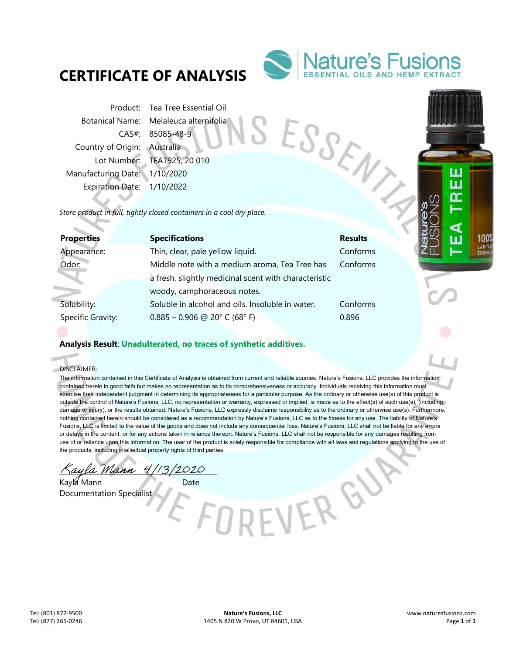# **CERTIFICATE OF ANALYSIS**



Product: Tea Tree Essential Oil Botanical Name: Melaleuca alternifolia CAS#: 85085-48-9 Country of Origin: Australia Lot Number: TEAT925, 20 010 Manufacturing Date: 1/10/2020 Expiration Date: 1/10/2022 From<br>Botanical Name: Melaleuca and CAS#: 85085-48-9<br>Country of Origin: Australia<br>Lot Number: TEAT925, 20 010<br>Manufacturing Date: 1/10/2020<br>Expiration Date: 1/10/2022<br>Store product in full, tightly closed containers in a co

| <b>Properties</b> | <b>Specifications</b>                                 | <b>Results</b> |
|-------------------|-------------------------------------------------------|----------------|
| Appearance:       | Thin, clear, pale yellow liquid.                      | Conforms       |
| Odor:             | Middle note with a medium aroma, Tea Tree has         | Conforms       |
|                   | a fresh, slightly medicinal scent with characteristic |                |
|                   | woody, camphoraceous notes.                           |                |
| Solubility:       | Soluble in alcohol and oils. Insoluble in water.      | Conforms       |
| Specific Gravity: | $0.885 - 0.906$ @ 20° C (68° F)                       | 0.896          |

## **Analysis Result**: **Unadulterated, no traces of synthetic additives.**

DISCLAIMER:

i.

The information contained in this Certificate of Analysis is obtained from current and reliable sources. Nature's Fusions, LLC provides the information contained herein in good faith but makes no representation as to its comprehensiveness or accuracy. Individuals receiving this information must exercise their independent judgment in determining its appropriateness for a particular purpose. As the ordinary or otherwise use(s) of this product is outside the control of Nature's Fusions, LLC, no representation or warranty, expressed or implied, is made as to the effect(s) of such use(s), (including damage or injury), or the results obtained. Nature's Fusions, LLC expressly disclaims responsibility as to the ordinary or otherwise use(s). Furthermore, nothing contained herein should be considered as a recommendation by Nature's Fusions, LLC as to the fitness for any use. The liability of Nature's Fusions, LLC is limited to the value of the goods and does not include any consequential loss. Nature's Fusions, LLC shall not be liable for any errors or delays in the content, or for any actions taken in reliance thereon. Nature's Fusions, LLC shall not be responsible for any damages resulting from use of or reliance upon this information. The user of the product is solely responsible for compliance with all laws and regulations applying to the use of the products, including intellectual property rights of third parties.

-VER GY

aula Mann 4/13/2020

Kayla Mann Date Documentation Specialist

Ш Ш m

> 100% LAB-T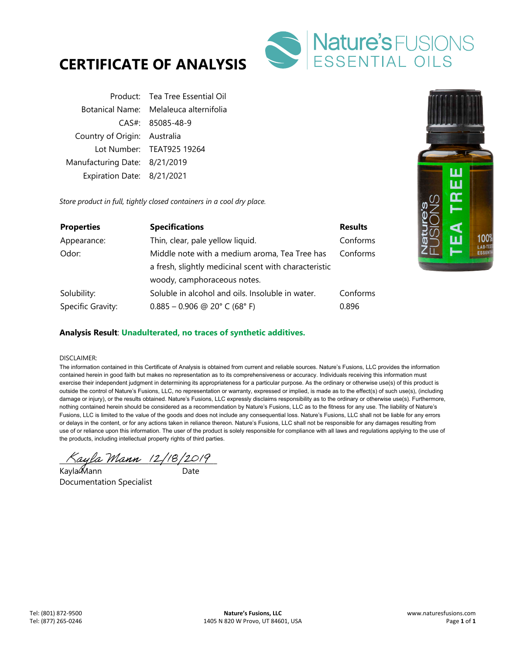



|                               | Product: Tea Tree Essential Oil        |
|-------------------------------|----------------------------------------|
|                               | Botanical Name: Melaleuca alternifolia |
|                               | CAS#: 85085-48-9                       |
| Country of Origin: Australia  |                                        |
|                               | Lot Number: TEAT925 19264              |
| Manufacturing Date: 8/21/2019 |                                        |
| Expiration Date: 8/21/2021    |                                        |

*Store product in full, tightly closed containers in a cool dry place.* 

| <b>Properties</b> | <b>Specifications</b>                                 | <b>Results</b> |
|-------------------|-------------------------------------------------------|----------------|
| Appearance:       | Thin, clear, pale yellow liquid.                      | Conforms       |
| Odor:             | Middle note with a medium aroma, Tea Tree has         | Conforms       |
|                   | a fresh, slightly medicinal scent with characteristic |                |
|                   | woody, camphoraceous notes.                           |                |
| Solubility:       | Soluble in alcohol and oils. Insoluble in water.      | Conforms       |
| Specific Gravity: | $0.885 - 0.906$ @ 20° C (68° F)                       | 0.896          |



### **Analysis Result**: **Unadulterated, no traces of synthetic additives.**

#### DISCLAIMER:

The information contained in this Certificate of Analysis is obtained from current and reliable sources. Nature's Fusions, LLC provides the information contained herein in good faith but makes no representation as to its comprehensiveness or accuracy. Individuals receiving this information must exercise their independent judgment in determining its appropriateness for a particular purpose. As the ordinary or otherwise use(s) of this product is outside the control of Nature's Fusions, LLC, no representation or warranty, expressed or implied, is made as to the effect(s) of such use(s), (including damage or injury), or the results obtained. Nature's Fusions, LLC expressly disclaims responsibility as to the ordinary or otherwise use(s). Furthermore, nothing contained herein should be considered as a recommendation by Nature's Fusions, LLC as to the fitness for any use. The liability of Nature's Fusions, LLC is limited to the value of the goods and does not include any consequential loss. Nature's Fusions, LLC shall not be liable for any errors or delays in the content, or for any actions taken in reliance thereon. Nature's Fusions, LLC shall not be responsible for any damages resulting from use of or reliance upon this information. The user of the product is solely responsible for compliance with all laws and regulations applying to the use of the products, including intellectual property rights of third parties.

 $\pi$ ayla Mann (2/18/2019)

Kayla��lann Date Documentation Specialist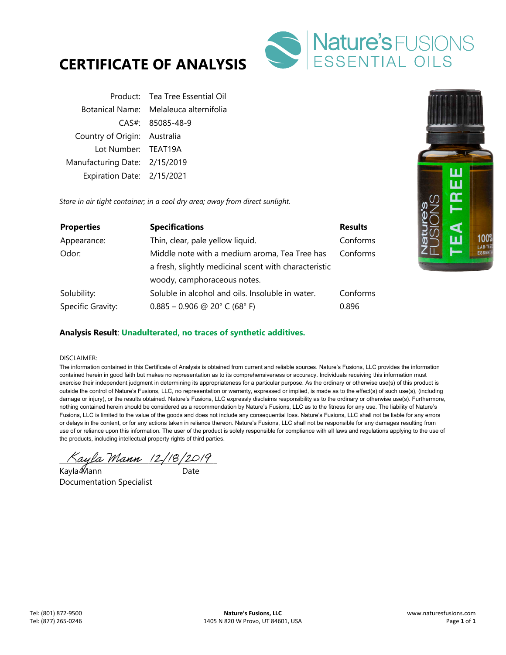



|                               | Product: Tea Tree Essential Oil        |
|-------------------------------|----------------------------------------|
|                               | Botanical Name: Melaleuca alternifolia |
|                               | CAS#: 85085-48-9                       |
| Country of Origin: Australia  |                                        |
| Lot Number: TEAT19A           |                                        |
| Manufacturing Date: 2/15/2019 |                                        |
| Expiration Date: 2/15/2021    |                                        |

*Store in air tight container; in a cool dry area; away from direct sunlight.* 

| <b>Properties</b> | <b>Specifications</b>                                 | <b>Results</b> |
|-------------------|-------------------------------------------------------|----------------|
| Appearance:       | Thin, clear, pale yellow liquid.                      | Conforms       |
| Odor:             | Middle note with a medium aroma, Tea Tree has         | Conforms       |
|                   | a fresh, slightly medicinal scent with characteristic |                |
|                   | woody, camphoraceous notes.                           |                |
| Solubility:       | Soluble in alcohol and oils. Insoluble in water.      | Conforms       |
| Specific Gravity: | $0.885 - 0.906$ @ 20° C (68° F)                       | 0.896          |



## **Analysis Result**: **Unadulterated, no traces of synthetic additives.**

#### DISCLAIMER:

The information contained in this Certificate of Analysis is obtained from current and reliable sources. Nature's Fusions, LLC provides the information contained herein in good faith but makes no representation as to its comprehensiveness or accuracy. Individuals receiving this information must exercise their independent judgment in determining its appropriateness for a particular purpose. As the ordinary or otherwise use(s) of this product is outside the control of Nature's Fusions, LLC, no representation or warranty, expressed or implied, is made as to the effect(s) of such use(s), (including damage or injury), or the results obtained. Nature's Fusions, LLC expressly disclaims responsibility as to the ordinary or otherwise use(s). Furthermore, nothing contained herein should be considered as a recommendation by Nature's Fusions, LLC as to the fitness for any use. The liability of Nature's Fusions, LLC is limited to the value of the goods and does not include any consequential loss. Nature's Fusions, LLC shall not be liable for any errors or delays in the content, or for any actions taken in reliance thereon. Nature's Fusions, LLC shall not be responsible for any damages resulting from use of or reliance upon this information. The user of the product is solely responsible for compliance with all laws and regulations applying to the use of the products, including intellectual property rights of third parties.

 $\land$ ayla Mann (2/18/2019)

Kayla Mann Date Documentation Specialist